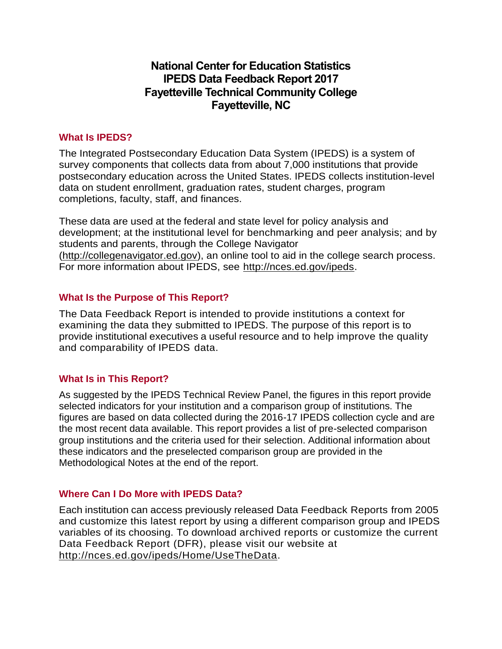# **National Center for Education Statistics IPEDS Data Feedback Report 2017 Fayetteville Technical Community College Fayetteville, NC**

## **What Is IPEDS?**

The Integrated Postsecondary Education Data System (IPEDS) is a system of survey components that collects data from about 7,000 institutions that provide postsecondary education across the United States. IPEDS collects institution-level data on student enrollment, graduation rates, student charges, program completions, faculty, staff, and finances.

These data are used at the federal and state level for policy analysis and development; at the institutional level for benchmarking and peer analysis; and by students and parents, through the College Navigator [\(http://collegenavigator.ed.gov\)](http://collegenavigator.ed.gov/), an online tool to aid in the college search process. For more information about IPEDS, see [http://nces.ed.gov/ipeds.](http://nces.ed.gov/ipeds)

## **What Is the Purpose of This Report?**

The Data Feedback Report is intended to provide institutions a context for examining the data they submitted to IPEDS. The purpose of this report is to provide institutional executives a useful resource and to help improve the quality and comparability of IPEDS data.

## **What Is in This Report?**

As suggested by the IPEDS Technical Review Panel, the figures in this report provide selected indicators for your institution and a comparison group of institutions. The figures are based on data collected during the 2016-17 IPEDS collection cycle and are the most recent data available. This report provides a list of pre-selected comparison group institutions and the criteria used for their selection. Additional information about these indicators and the preselected comparison group are provided in the Methodological Notes at the end of the report.

## **Where Can I Do More with IPEDS Data?**

Each institution can access previously released Data Feedback Reports from 2005 and customize this latest report by using a different comparison group and IPEDS variables of its choosing. To download archived reports or customize the current Data Feedback Report (DFR), please visit our website at [http://nces.ed.gov/ipeds/Home/UseTheData.](http://nces.ed.gov/ipeds/Home/UseTheData)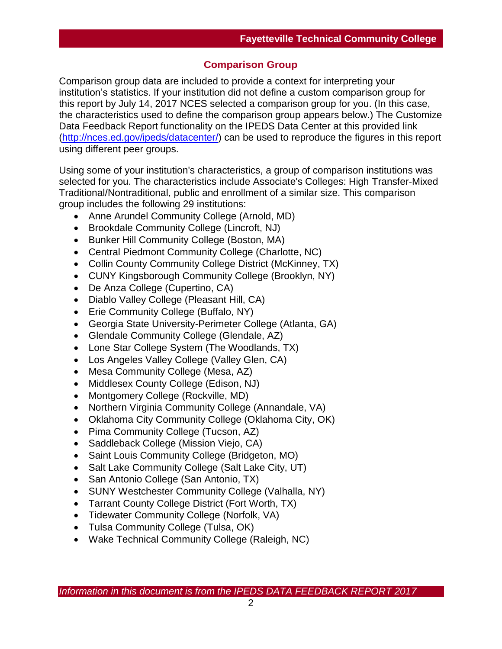## **Comparison Group**

Comparison group data are included to provide a context for interpreting your institution's statistics. If your institution did not define a custom comparison group for this report by July 14, 2017 NCES selected a comparison group for you. (In this case, the characteristics used to define the comparison group appears below.) The Customize Data Feedback Report functionality on the IPEDS Data Center at this provided link [\(http://nces.ed.gov/ipeds/datacenter/\)](http://nces.ed.gov/ipeds/datacenter/) can be used to reproduce the figures in this report using different peer groups.

Using some of your institution's characteristics, a group of comparison institutions was selected for you. The characteristics include Associate's Colleges: High Transfer-Mixed Traditional/Nontraditional, public and enrollment of a similar size. This comparison group includes the following 29 institutions:

- Anne Arundel Community College (Arnold, MD)
- Brookdale Community College (Lincroft, NJ)
- Bunker Hill Community College (Boston, MA)
- Central Piedmont Community College (Charlotte, NC)
- Collin County Community College District (McKinney, TX)
- CUNY Kingsborough Community College (Brooklyn, NY)
- De Anza College (Cupertino, CA)
- Diablo Valley College (Pleasant Hill, CA)
- Erie Community College (Buffalo, NY)
- Georgia State University-Perimeter College (Atlanta, GA)
- Glendale Community College (Glendale, AZ)
- Lone Star College System (The Woodlands, TX)
- Los Angeles Valley College (Valley Glen, CA)
- Mesa Community College (Mesa, AZ)
- Middlesex County College (Edison, NJ)
- Montgomery College (Rockville, MD)
- Northern Virginia Community College (Annandale, VA)
- Oklahoma City Community College (Oklahoma City, OK)
- Pima Community College (Tucson, AZ)
- Saddleback College (Mission Viejo, CA)
- Saint Louis Community College (Bridgeton, MO)
- Salt Lake Community College (Salt Lake City, UT)
- San Antonio College (San Antonio, TX)
- SUNY Westchester Community College (Valhalla, NY)
- Tarrant County College District (Fort Worth, TX)
- Tidewater Community College (Norfolk, VA)
- Tulsa Community College (Tulsa, OK)
- Wake Technical Community College (Raleigh, NC)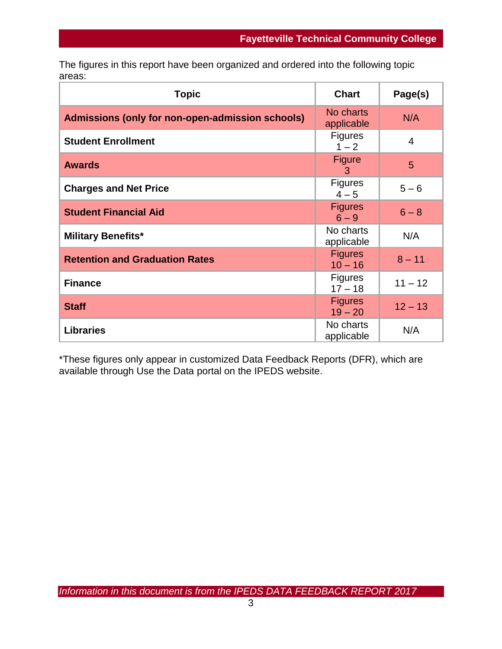The figures in this report have been organized and ordered into the following topic areas:

| <b>Topic</b>                                     | <b>Chart</b>                | Page(s)        |
|--------------------------------------------------|-----------------------------|----------------|
| Admissions (only for non-open-admission schools) | No charts<br>applicable     | N/A            |
| <b>Student Enrollment</b>                        | <b>Figures</b><br>$1 - 2$   | $\overline{4}$ |
| <b>Awards</b>                                    | <b>Figure</b><br>3          | 5              |
| <b>Charges and Net Price</b>                     | <b>Figures</b><br>$4 - 5$   | $5 - 6$        |
| <b>Student Financial Aid</b>                     | <b>Figures</b><br>$6 - 9$   | $6 - 8$        |
| <b>Military Benefits*</b>                        | No charts<br>applicable     | N/A            |
| <b>Retention and Graduation Rates</b>            | <b>Figures</b><br>$10 - 16$ | $8 - 11$       |
| <b>Finance</b>                                   | <b>Figures</b><br>$17 - 18$ | $11 - 12$      |
| <b>Staff</b>                                     | <b>Figures</b><br>$19 - 20$ | $12 - 13$      |
| <b>Libraries</b>                                 | No charts<br>applicable     | N/A            |

\*These figures only appear in customized Data Feedback Reports (DFR), which are available through Use the Data portal on the IPEDS website.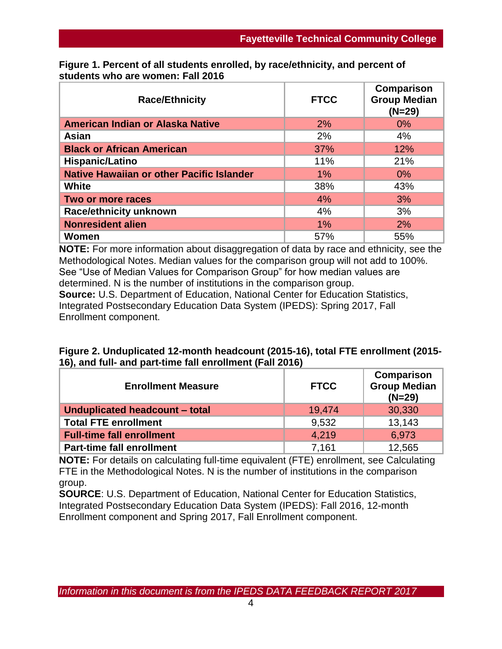| <b>Race/Ethnicity</b>                            | <b>FTCC</b> | Comparison<br><b>Group Median</b><br>$(N=29)$ |
|--------------------------------------------------|-------------|-----------------------------------------------|
| American Indian or Alaska Native                 | 2%          | $0\%$                                         |
| Asian                                            | 2%          | 4%                                            |
| <b>Black or African American</b>                 | 37%         | 12%                                           |
| Hispanic/Latino                                  | 11%         | 21%                                           |
| <b>Native Hawaiian or other Pacific Islander</b> | 1%          | $0\%$                                         |
| <b>White</b>                                     | 38%         | 43%                                           |
| Two or more races                                | 4%          | 3%                                            |
| <b>Race/ethnicity unknown</b>                    | 4%          | 3%                                            |
| <b>Nonresident alien</b>                         | 1%          | 2%                                            |
| Women                                            | 57%         | 55%                                           |

**Figure 1. Percent of all students enrolled, by race/ethnicity, and percent of students who are women: Fall 2016**

**NOTE:** For more information about disaggregation of data by race and ethnicity, see the Methodological Notes. Median values for the comparison group will not add to 100%. See "Use of Median Values for Comparison Group" for how median values are determined. N is the number of institutions in the comparison group. **Source:** U.S. Department of Education, National Center for Education Statistics, Integrated Postsecondary Education Data System (IPEDS): Spring 2017, Fall Enrollment component.

| Figure 2. Unduplicated 12-month headcount (2015-16), total FTE enrollment (2015- |  |
|----------------------------------------------------------------------------------|--|
| 16), and full- and part-time fall enrollment (Fall 2016)                         |  |

| <b>Enrollment Measure</b>        | <b>FTCC</b> | Comparison<br><b>Group Median</b><br>$(N=29)$ |
|----------------------------------|-------------|-----------------------------------------------|
| Unduplicated headcount - total   | 19.474      | 30,330                                        |
| <b>Total FTE enrollment</b>      | 9.532       | 13.143                                        |
| <b>Full-time fall enrollment</b> | 4.219       | 6.973                                         |
| <b>Part-time fall enrollment</b> | 7,161       | 12,565                                        |

**NOTE:** For details on calculating full-time equivalent (FTE) enrollment, see Calculating FTE in the Methodological Notes. N is the number of institutions in the comparison group.

**SOURCE**: U.S. Department of Education, National Center for Education Statistics, Integrated Postsecondary Education Data System (IPEDS): Fall 2016, 12-month Enrollment component and Spring 2017, Fall Enrollment component.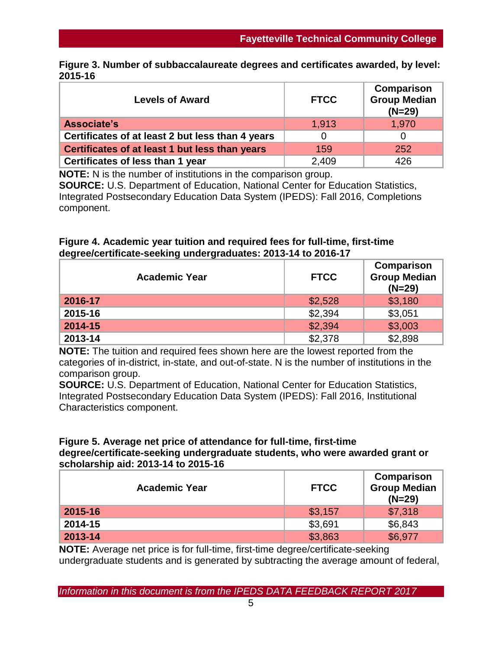|         | Figure 3. Number of subbaccalaureate degrees and certificates awarded, by level: |  |  |
|---------|----------------------------------------------------------------------------------|--|--|
| 2015-16 |                                                                                  |  |  |

| <b>Levels of Award</b>                           | <b>FTCC</b> | <b>Comparison</b><br><b>Group Median</b><br>$(N=29)$ |
|--------------------------------------------------|-------------|------------------------------------------------------|
| Associate's                                      | 1.913       | 1,970                                                |
| Certificates of at least 2 but less than 4 years |             |                                                      |
| Certificates of at least 1 but less than years   | 159         | 252                                                  |
| Certificates of less than 1 year                 | 2,409       | 426                                                  |

**NOTE:** N is the number of institutions in the comparison group. **SOURCE:** U.S. Department of Education, National Center for Education Statistics, Integrated Postsecondary Education Data System (IPEDS): Fall 2016, Completions component.

## **Figure 4. Academic year tuition and required fees for full-time, first-time degree/certificate-seeking undergraduates: 2013-14 to 2016-17**

| <b>Academic Year</b> | <b>FTCC</b> | Comparison<br><b>Group Median</b><br>$(N=29)$ |  |  |
|----------------------|-------------|-----------------------------------------------|--|--|
| 2016-17              | \$2,528     | \$3,180                                       |  |  |
| 2015-16              | \$2,394     | \$3,051                                       |  |  |
| 2014-15              | \$2,394     | \$3,003                                       |  |  |
| 2013-14              | \$2,378     | \$2,898                                       |  |  |

**NOTE:** The tuition and required fees shown here are the lowest reported from the categories of in-district, in-state, and out-of-state. N is the number of institutions in the comparison group.

**SOURCE:** U.S. Department of Education, National Center for Education Statistics, Integrated Postsecondary Education Data System (IPEDS): Fall 2016, Institutional Characteristics component.

### **Figure 5. Average net price of attendance for full-time, first-time degree/certificate-seeking undergraduate students, who were awarded grant or scholarship aid: 2013-14 to 2015-16**

| <b>Academic Year</b> | <b>FTCC</b> | Comparison<br><b>Group Median</b><br>$(N=29)$ |
|----------------------|-------------|-----------------------------------------------|
| 2015-16              | \$3,157     | \$7,318                                       |
| 2014-15              | \$3,691     | \$6,843                                       |
| 2013-14              | \$3,863     | \$6,977                                       |

**NOTE:** Average net price is for full-time, first-time degree/certificate-seeking undergraduate students and is generated by subtracting the average amount of federal,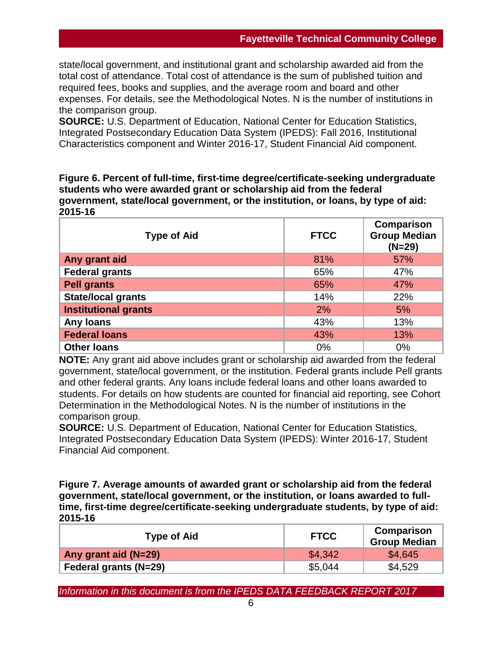state/local government, and institutional grant and scholarship awarded aid from the total cost of attendance. Total cost of attendance is the sum of published tuition and required fees, books and supplies, and the average room and board and other expenses. For details, see the Methodological Notes. N is the number of institutions in the comparison group.

**SOURCE:** U.S. Department of Education, National Center for Education Statistics, Integrated Postsecondary Education Data System (IPEDS): Fall 2016, Institutional Characteristics component and Winter 2016-17, Student Financial Aid component.

**Figure 6. Percent of full-time, first-time degree/certificate-seeking undergraduate students who were awarded grant or scholarship aid from the federal government, state/local government, or the institution, or loans, by type of aid: 2015-16**

| <b>Type of Aid</b>          | <b>FTCC</b> | Comparison<br><b>Group Median</b><br>$(N=29)$ |
|-----------------------------|-------------|-----------------------------------------------|
| Any grant aid               | 81%         | 57%                                           |
| <b>Federal grants</b>       | 65%         | 47%                                           |
| <b>Pell grants</b>          | 65%         | 47%                                           |
| <b>State/local grants</b>   | 14%         | 22%                                           |
| <b>Institutional grants</b> | 2%          | 5%                                            |
| <b>Any loans</b>            | 43%         | 13%                                           |
| <b>Federal loans</b>        | 43%         | 13%                                           |
| <b>Other loans</b>          | 0%          | 0%                                            |

**NOTE:** Any grant aid above includes grant or scholarship aid awarded from the federal government, state/local government, or the institution. Federal grants include Pell grants and other federal grants. Any loans include federal loans and other loans awarded to students. For details on how students are counted for financial aid reporting, see Cohort Determination in the Methodological Notes. N is the number of institutions in the comparison group.

**SOURCE:** U.S. Department of Education, National Center for Education Statistics, Integrated Postsecondary Education Data System (IPEDS): Winter 2016-17, Student Financial Aid component.

**Figure 7. Average amounts of awarded grant or scholarship aid from the federal government, state/local government, or the institution, or loans awarded to fulltime, first-time degree/certificate-seeking undergraduate students, by type of aid: 2015-16**

| <b>Type of Aid</b>           | <b>FTCC</b> | Comparison<br>Group Median |  |
|------------------------------|-------------|----------------------------|--|
| Any grant aid (N=29)         | \$4,342     | \$4,645                    |  |
| <b>Federal grants (N=29)</b> | \$5,044     | \$4,529                    |  |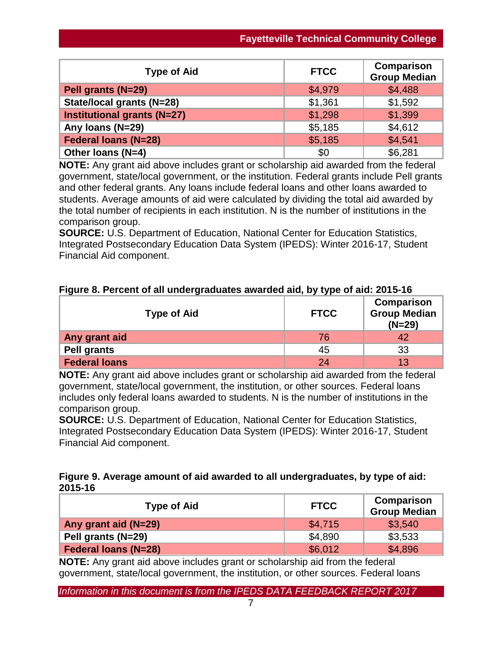| <b>Type of Aid</b>                 | <b>FTCC</b> | <b>Comparison</b><br><b>Group Median</b> |
|------------------------------------|-------------|------------------------------------------|
| Pell grants (N=29)                 | \$4,979     | \$4,488                                  |
| State/local grants (N=28)          | \$1,361     | \$1,592                                  |
| <b>Institutional grants (N=27)</b> | \$1,298     | \$1,399                                  |
| Any Ioans (N=29)                   | \$5,185     | \$4,612                                  |
| <b>Federal loans (N=28)</b>        | \$5,185     | \$4,541                                  |
| Other Ioans (N=4)                  | \$0         | \$6,281                                  |

**NOTE:** Any grant aid above includes grant or scholarship aid awarded from the federal government, state/local government, or the institution. Federal grants include Pell grants and other federal grants. Any loans include federal loans and other loans awarded to students. Average amounts of aid were calculated by dividing the total aid awarded by the total number of recipients in each institution. N is the number of institutions in the comparison group.

**SOURCE:** U.S. Department of Education, National Center for Education Statistics, Integrated Postsecondary Education Data System (IPEDS): Winter 2016-17, Student Financial Aid component.

|  |  | Figure 8. Percent of all undergraduates awarded aid, by type of aid: 2015-16 |  |  |  |
|--|--|------------------------------------------------------------------------------|--|--|--|
|--|--|------------------------------------------------------------------------------|--|--|--|

| <b>Type of Aid</b>   | <b>FTCC</b> | Comparison<br><b>Group Median</b><br>$(N=29)$ |
|----------------------|-------------|-----------------------------------------------|
| Any grant aid        | 76          |                                               |
| <b>Pell grants</b>   | 45          | 33                                            |
| <b>Federal loans</b> | 24          | 13                                            |

**NOTE:** Any grant aid above includes grant or scholarship aid awarded from the federal government, state/local government, the institution, or other sources. Federal loans includes only federal loans awarded to students. N is the number of institutions in the comparison group.

**SOURCE:** U.S. Department of Education, National Center for Education Statistics, Integrated Postsecondary Education Data System (IPEDS): Winter 2016-17, Student Financial Aid component.

## **Figure 9. Average amount of aid awarded to all undergraduates, by type of aid: 2015-16**

| <b>Type of Aid</b>          | <b>FTCC</b> | Comparison<br><b>Group Median</b> |
|-----------------------------|-------------|-----------------------------------|
| Any grant aid (N=29)        | \$4,715     | \$3,540                           |
| Pell grants (N=29)          | \$4,890     | \$3,533                           |
| <b>Federal loans (N=28)</b> | \$6,012     | \$4,896                           |

**NOTE:** Any grant aid above includes grant or scholarship aid from the federal government, state/local government, the institution, or other sources. Federal loans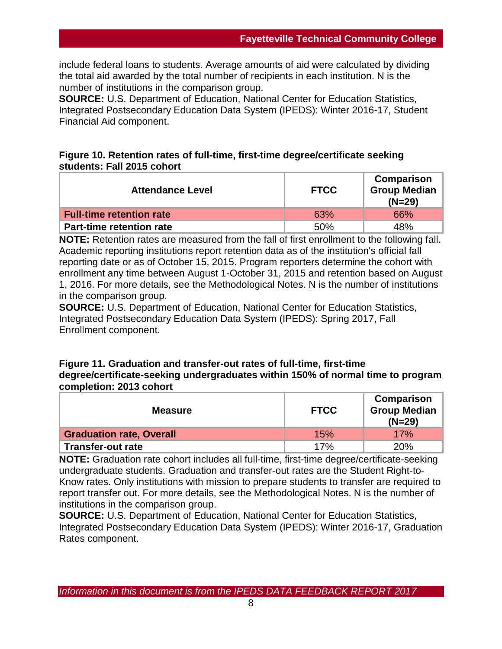include federal loans to students. Average amounts of aid were calculated by dividing the total aid awarded by the total number of recipients in each institution. N is the number of institutions in the comparison group.

**SOURCE:** U.S. Department of Education, National Center for Education Statistics, Integrated Postsecondary Education Data System (IPEDS): Winter 2016-17, Student Financial Aid component.

## **Figure 10. Retention rates of full-time, first-time degree/certificate seeking students: Fall 2015 cohort**

| <b>Attendance Level</b>         | <b>FTCC</b> | <b>Comparison</b><br><b>Group Median</b><br>$(N=29)$ |
|---------------------------------|-------------|------------------------------------------------------|
| <b>Full-time retention rate</b> | 63%         | 66%                                                  |
| <b>Part-time retention rate</b> | 50%         | 48%                                                  |

**NOTE:** Retention rates are measured from the fall of first enrollment to the following fall. Academic reporting institutions report retention data as of the institution's official fall reporting date or as of October 15, 2015. Program reporters determine the cohort with enrollment any time between August 1-October 31, 2015 and retention based on August 1, 2016. For more details, see the Methodological Notes. N is the number of institutions in the comparison group.

**SOURCE:** U.S. Department of Education, National Center for Education Statistics, Integrated Postsecondary Education Data System (IPEDS): Spring 2017, Fall Enrollment component.

## **Figure 11. Graduation and transfer-out rates of full-time, first-time degree/certificate-seeking undergraduates within 150% of normal time to program completion: 2013 cohort**

| <b>Measure</b>                  | <b>FTCC</b> | Comparison<br><b>Group Median</b><br>$(N=29)$ |
|---------------------------------|-------------|-----------------------------------------------|
| <b>Graduation rate, Overall</b> | 15%         | 17%                                           |
| <b>Transfer-out rate</b>        | 17%         | 20%                                           |

**NOTE:** Graduation rate cohort includes all full-time, first-time degree/certificate-seeking undergraduate students. Graduation and transfer-out rates are the Student Right-to-Know rates. Only institutions with mission to prepare students to transfer are required to report transfer out. For more details, see the Methodological Notes. N is the number of institutions in the comparison group.

**SOURCE:** U.S. Department of Education, National Center for Education Statistics, Integrated Postsecondary Education Data System (IPEDS): Winter 2016-17, Graduation Rates component.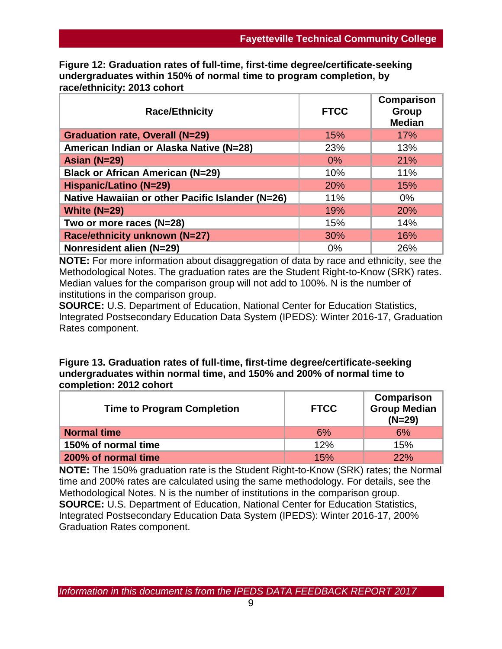**Figure 12: Graduation rates of full-time, first-time degree/certificate-seeking undergraduates within 150% of normal time to program completion, by race/ethnicity: 2013 cohort**

| <b>Race/Ethnicity</b>                            | <b>FTCC</b> | Comparison<br>Group<br><b>Median</b> |
|--------------------------------------------------|-------------|--------------------------------------|
| <b>Graduation rate, Overall (N=29)</b>           | 15%         | 17%                                  |
| American Indian or Alaska Native (N=28)          | 23%         | 13%                                  |
| Asian (N=29)                                     | $0\%$       | 21%                                  |
| <b>Black or African American (N=29)</b>          | 10%         | 11%                                  |
| <b>Hispanic/Latino (N=29)</b>                    | 20%         | 15%                                  |
| Native Hawaiian or other Pacific Islander (N=26) | 11%         | $0\%$                                |
| White $(N=29)$                                   | 19%         | 20%                                  |
| Two or more races (N=28)                         | 15%         | 14%                                  |
| Race/ethnicity unknown (N=27)                    | 30%         | 16%                                  |
| Nonresident alien (N=29)                         | 0%          | 26%                                  |

**NOTE:** For more information about disaggregation of data by race and ethnicity, see the Methodological Notes. The graduation rates are the Student Right-to-Know (SRK) rates. Median values for the comparison group will not add to 100%. N is the number of institutions in the comparison group.

**SOURCE:** U.S. Department of Education, National Center for Education Statistics, Integrated Postsecondary Education Data System (IPEDS): Winter 2016-17, Graduation Rates component.

## **Figure 13. Graduation rates of full-time, first-time degree/certificate-seeking undergraduates within normal time, and 150% and 200% of normal time to completion: 2012 cohort**

| <b>Time to Program Completion</b> | <b>FTCC</b> | Comparison<br><b>Group Median</b><br>$(N=29)$ |
|-----------------------------------|-------------|-----------------------------------------------|
| <b>Normal time</b>                | 6%          | 6%                                            |
| 150% of normal time               | 12%         | 15%                                           |
| 200% of normal time               | 15%         | 22%                                           |

**NOTE:** The 150% graduation rate is the Student Right-to-Know (SRK) rates; the Normal time and 200% rates are calculated using the same methodology. For details, see the Methodological Notes. N is the number of institutions in the comparison group. **SOURCE:** U.S. Department of Education, National Center for Education Statistics, Integrated Postsecondary Education Data System (IPEDS): Winter 2016-17, 200% Graduation Rates component.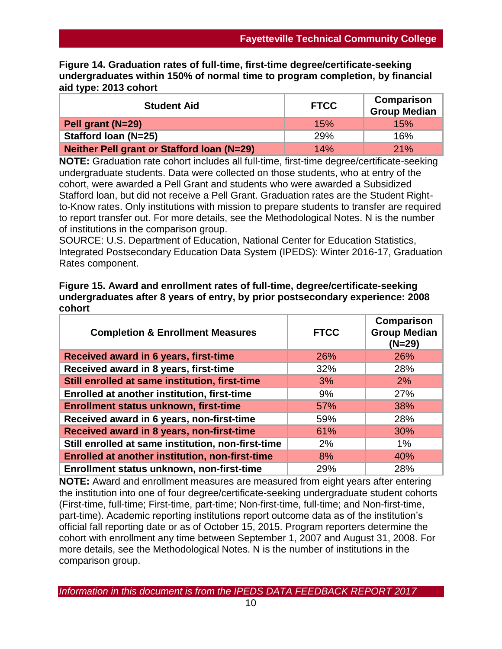**Figure 14. Graduation rates of full-time, first-time degree/certificate-seeking undergraduates within 150% of normal time to program completion, by financial aid type: 2013 cohort**

| <b>Student Aid</b>                                | <b>FTCC</b> | Comparison<br><b>Group Median</b> |
|---------------------------------------------------|-------------|-----------------------------------|
| Pell grant (N=29)                                 | 15%         | 15%                               |
| Stafford Ioan (N=25)                              | <b>29%</b>  | 16%                               |
| <b>Neither Pell grant or Stafford Ioan (N=29)</b> | 14%         | 21%                               |

**NOTE:** Graduation rate cohort includes all full-time, first-time degree/certificate-seeking undergraduate students. Data were collected on those students, who at entry of the cohort, were awarded a Pell Grant and students who were awarded a Subsidized Stafford loan, but did not receive a Pell Grant. Graduation rates are the Student Rightto-Know rates. Only institutions with mission to prepare students to transfer are required to report transfer out. For more details, see the Methodological Notes. N is the number of institutions in the comparison group.

SOURCE: U.S. Department of Education, National Center for Education Statistics, Integrated Postsecondary Education Data System (IPEDS): Winter 2016-17, Graduation Rates component.

| Figure 15. Award and enrollment rates of full-time, degree/certificate-seeking |
|--------------------------------------------------------------------------------|
| undergraduates after 8 years of entry, by prior postsecondary experience: 2008 |
| cohort                                                                         |

| <b>Completion &amp; Enrollment Measures</b>            | <b>FTCC</b> | <b>Comparison</b><br><b>Group Median</b><br>$(N=29)$ |
|--------------------------------------------------------|-------------|------------------------------------------------------|
| Received award in 6 years, first-time                  | 26%         | 26%                                                  |
| Received award in 8 years, first-time                  | 32%         | 28%                                                  |
| Still enrolled at same institution, first-time         | 3%          | 2%                                                   |
| <b>Enrolled at another institution, first-time</b>     | 9%          | 27%                                                  |
| Enrollment status unknown, first-time                  | 57%         | 38%                                                  |
| Received award in 6 years, non-first-time              | 59%         | 28%                                                  |
| Received award in 8 years, non-first-time              | 61%         | 30%                                                  |
| Still enrolled at same institution, non-first-time     | 2%          | 1%                                                   |
| <b>Enrolled at another institution, non-first-time</b> | 8%          | 40%                                                  |
| Enrollment status unknown, non-first-time              | 29%         | 28%                                                  |

**NOTE:** Award and enrollment measures are measured from eight years after entering the institution into one of four degree/certificate-seeking undergraduate student cohorts (First-time, full-time; First-time, part-time; Non-first-time, full-time; and Non-first-time, part-time). Academic reporting institutions report outcome data as of the institution's official fall reporting date or as of October 15, 2015. Program reporters determine the cohort with enrollment any time between September 1, 2007 and August 31, 2008. For more details, see the Methodological Notes. N is the number of institutions in the comparison group.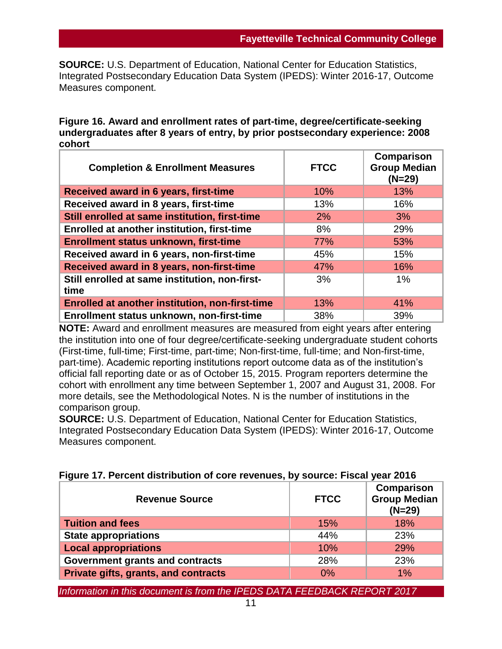**SOURCE:** U.S. Department of Education, National Center for Education Statistics, Integrated Postsecondary Education Data System (IPEDS): Winter 2016-17, Outcome Measures component.

### **Figure 16. Award and enrollment rates of part-time, degree/certificate-seeking undergraduates after 8 years of entry, by prior postsecondary experience: 2008 cohort**

| <b>Completion &amp; Enrollment Measures</b>            | <b>FTCC</b> | <b>Comparison</b><br><b>Group Median</b><br>$(N=29)$ |
|--------------------------------------------------------|-------------|------------------------------------------------------|
| Received award in 6 years, first-time                  | 10%         | 13%                                                  |
| Received award in 8 years, first-time                  | 13%         | 16%                                                  |
| Still enrolled at same institution, first-time         | 2%          | 3%                                                   |
| <b>Enrolled at another institution, first-time</b>     | 8%          | 29%                                                  |
| Enrollment status unknown, first-time                  | 77%         | 53%                                                  |
| Received award in 6 years, non-first-time              | 45%         | 15%                                                  |
| Received award in 8 years, non-first-time              | 47%         | 16%                                                  |
| Still enrolled at same institution, non-first-<br>time | 3%          | $1\%$                                                |
| <b>Enrolled at another institution, non-first-time</b> | 13%         | 41%                                                  |
| Enrollment status unknown, non-first-time              | 38%         | 39%                                                  |

**NOTE:** Award and enrollment measures are measured from eight years after entering the institution into one of four degree/certificate-seeking undergraduate student cohorts (First-time, full-time; First-time, part-time; Non-first-time, full-time; and Non-first-time, part-time). Academic reporting institutions report outcome data as of the institution's official fall reporting date or as of October 15, 2015. Program reporters determine the cohort with enrollment any time between September 1, 2007 and August 31, 2008. For more details, see the Methodological Notes. N is the number of institutions in the comparison group.

**SOURCE:** U.S. Department of Education, National Center for Education Statistics, Integrated Postsecondary Education Data System (IPEDS): Winter 2016-17, Outcome Measures component.

| <b>Revenue Source</b>                       | <b>FTCC</b> | Comparison<br><b>Group Median</b><br>$(N=29)$ |
|---------------------------------------------|-------------|-----------------------------------------------|
| <b>Tuition and fees</b>                     | 15%         | 18%                                           |
| <b>State appropriations</b>                 | 44%         | 23%                                           |
| <b>Local appropriations</b>                 | 10%         | 29%                                           |
| Government grants and contracts             | 28%         | 23%                                           |
| <b>Private gifts, grants, and contracts</b> | 0%          | $1\%$                                         |

# **Figure 17. Percent distribution of core revenues, by source: Fiscal year 2016**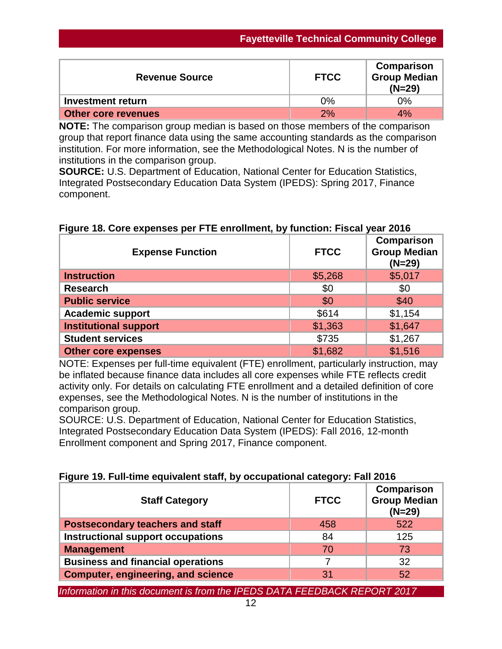| <b>Revenue Source</b>      | <b>FTCC</b> | Comparison<br><b>Group Median</b><br>$(N=29)$ |
|----------------------------|-------------|-----------------------------------------------|
| Investment return          | $0\%$       | 0%                                            |
| <b>Other core revenues</b> | 2%          | 4%                                            |

**NOTE:** The comparison group median is based on those members of the comparison group that report finance data using the same accounting standards as the comparison institution. For more information, see the Methodological Notes. N is the number of institutions in the comparison group.

**SOURCE:** U.S. Department of Education, National Center for Education Statistics, Integrated Postsecondary Education Data System (IPEDS): Spring 2017, Finance component.

## **Figure 18. Core expenses per FTE enrollment, by function: Fiscal year 2016**

| <b>Expense Function</b>      | <b>FTCC</b> | <b>Comparison</b><br><b>Group Median</b><br>$(N=29)$ |
|------------------------------|-------------|------------------------------------------------------|
| <b>Instruction</b>           | \$5,268     | \$5,017                                              |
| <b>Research</b>              | \$0         | \$0                                                  |
| <b>Public service</b>        | \$0         | \$40                                                 |
| <b>Academic support</b>      | \$614       | \$1,154                                              |
| <b>Institutional support</b> | \$1,363     | \$1,647                                              |
| <b>Student services</b>      | \$735       | \$1,267                                              |
| <b>Other core expenses</b>   | \$1,682     | \$1,516                                              |

NOTE: Expenses per full-time equivalent (FTE) enrollment, particularly instruction, may be inflated because finance data includes all core expenses while FTE reflects credit activity only. For details on calculating FTE enrollment and a detailed definition of core expenses, see the Methodological Notes. N is the number of institutions in the comparison group.

SOURCE: U.S. Department of Education, National Center for Education Statistics, Integrated Postsecondary Education Data System (IPEDS): Fall 2016, 12-month Enrollment component and Spring 2017, Finance component.

## **Figure 19. Full-time equivalent staff, by occupational category: Fall 2016**

| <b>Staff Category</b>                     | <b>FTCC</b> | Comparison<br><b>Group Median</b><br>$(N=29)$ |
|-------------------------------------------|-------------|-----------------------------------------------|
| <b>Postsecondary teachers and staff</b>   | 458         | 522                                           |
| <b>Instructional support occupations</b>  | 84          | 125                                           |
| <b>Management</b>                         | 70          | 73                                            |
| <b>Business and financial operations</b>  |             | 32                                            |
| <b>Computer, engineering, and science</b> | 31          | 52                                            |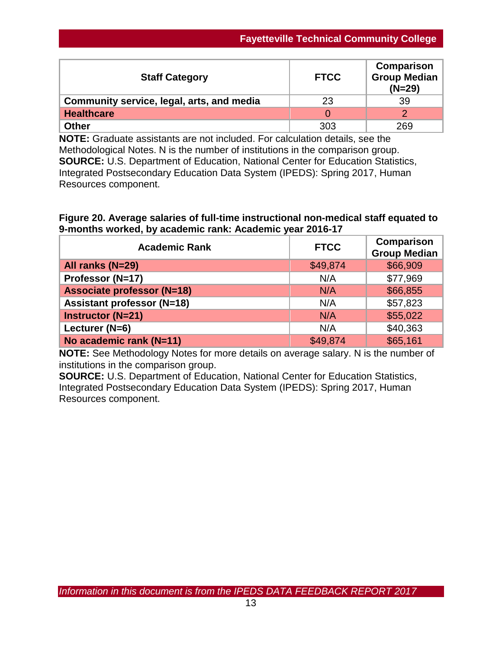| <b>Staff Category</b>                     | <b>FTCC</b> | Comparison<br><b>Group Median</b><br>$(N=29)$ |
|-------------------------------------------|-------------|-----------------------------------------------|
| Community service, legal, arts, and media | 23          | 39                                            |
| <b>Healthcare</b>                         |             |                                               |
| <b>Other</b>                              | 303         | 269                                           |

**NOTE:** Graduate assistants are not included. For calculation details, see the Methodological Notes. N is the number of institutions in the comparison group. **SOURCE:** U.S. Department of Education, National Center for Education Statistics, Integrated Postsecondary Education Data System (IPEDS): Spring 2017, Human Resources component.

**Figure 20. Average salaries of full-time instructional non-medical staff equated to 9-months worked, by academic rank: Academic year 2016-17**

| <b>Academic Rank</b>              | <b>FTCC</b> | <b>Comparison</b><br><b>Group Median</b> |
|-----------------------------------|-------------|------------------------------------------|
| All ranks (N=29)                  | \$49,874    | \$66,909                                 |
| Professor (N=17)                  | N/A         | \$77,969                                 |
| <b>Associate professor (N=18)</b> | N/A         | \$66,855                                 |
| <b>Assistant professor (N=18)</b> | N/A         | \$57,823                                 |
| <b>Instructor (N=21)</b>          | N/A         | \$55,022                                 |
| Lecturer (N=6)                    | N/A         | \$40,363                                 |
| No academic rank (N=11)           | \$49,874    | \$65,161                                 |

**NOTE:** See Methodology Notes for more details on average salary. N is the number of institutions in the comparison group.

**SOURCE:** U.S. Department of Education, National Center for Education Statistics, Integrated Postsecondary Education Data System (IPEDS): Spring 2017, Human Resources component.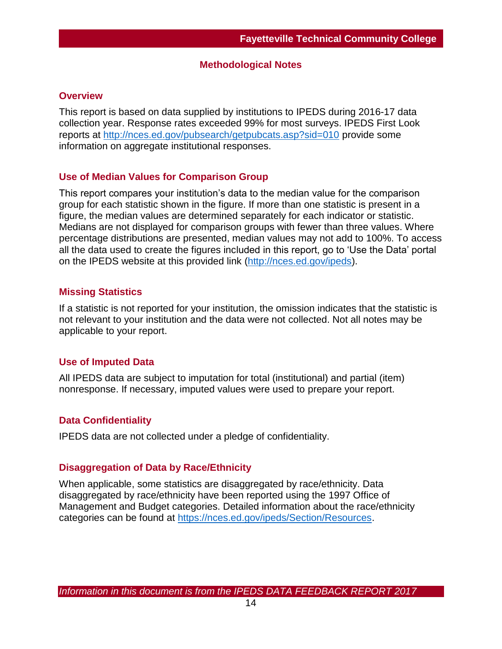### **Methodological Notes**

#### **Overview**

This report is based on data supplied by institutions to IPEDS during 2016-17 data collection year. Response rates exceeded 99% for most surveys. IPEDS First Look reports at [http://nces.ed.gov/pubsearch/getpubcats.asp?sid=010](http://nces.ed.gov/pubsearch/getpubcats.asp?sid=010%20) provide some information on aggregate institutional responses.

### **Use of Median Values for Comparison Group**

This report compares your institution's data to the median value for the comparison group for each statistic shown in the figure. If more than one statistic is present in a figure, the median values are determined separately for each indicator or statistic. Medians are not displayed for comparison groups with fewer than three values. Where percentage distributions are presented, median values may not add to 100%. To access all the data used to create the figures included in this report, go to 'Use the Data' portal on the IPEDS website at this provided link [\(http://nces.ed.gov/ipeds\)](http://nces.ed.gov/ipeds).

### **Missing Statistics**

If a statistic is not reported for your institution, the omission indicates that the statistic is not relevant to your institution and the data were not collected. Not all notes may be applicable to your report.

## **Use of Imputed Data**

All IPEDS data are subject to imputation for total (institutional) and partial (item) nonresponse. If necessary, imputed values were used to prepare your report.

## **Data Confidentiality**

IPEDS data are not collected under a pledge of confidentiality.

#### **Disaggregation of Data by Race/Ethnicity**

When applicable, some statistics are disaggregated by race/ethnicity. Data disaggregated by race/ethnicity have been reported using the 1997 Office of Management and Budget categories. Detailed information about the race/ethnicity categories can be found at [https://nces.ed.gov/ipeds/Section/Resources.](https://nces.ed.gov/ipeds/Section/Resources)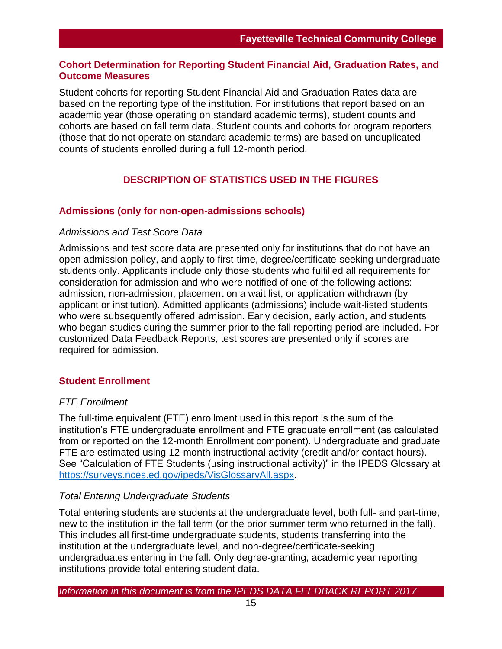## **Cohort Determination for Reporting Student Financial Aid, Graduation Rates, and Outcome Measures**

Student cohorts for reporting Student Financial Aid and Graduation Rates data are based on the reporting type of the institution. For institutions that report based on an academic year (those operating on standard academic terms), student counts and cohorts are based on fall term data. Student counts and cohorts for program reporters (those that do not operate on standard academic terms) are based on unduplicated counts of students enrolled during a full 12-month period.

## **DESCRIPTION OF STATISTICS USED IN THE FIGURES**

## **Admissions (only for non-open-admissions schools)**

### *Admissions and Test Score Data*

Admissions and test score data are presented only for institutions that do not have an open admission policy, and apply to first-time, degree/certificate-seeking undergraduate students only. Applicants include only those students who fulfilled all requirements for consideration for admission and who were notified of one of the following actions: admission, non-admission, placement on a wait list, or application withdrawn (by applicant or institution). Admitted applicants (admissions) include wait-listed students who were subsequently offered admission. Early decision, early action, and students who began studies during the summer prior to the fall reporting period are included. For customized Data Feedback Reports, test scores are presented only if scores are required for admission.

## **Student Enrollment**

## *FTE Enrollment*

The full-time equivalent (FTE) enrollment used in this report is the sum of the institution's FTE undergraduate enrollment and FTE graduate enrollment (as calculated from or reported on the 12-month Enrollment component). Undergraduate and graduate FTE are estimated using 12-month instructional activity (credit and/or contact hours). See "Calculation of FTE Students (using instructional activity)" in the IPEDS Glossary at [https://surveys.nces.ed.gov/ipeds/VisGlossaryAll.aspx.](https://surveys.nces.ed.gov/ipeds/VisGlossaryAll.aspx)

## *Total Entering Undergraduate Students*

Total entering students are students at the undergraduate level, both full- and part-time, new to the institution in the fall term (or the prior summer term who returned in the fall). This includes all first-time undergraduate students, students transferring into the institution at the undergraduate level, and non-degree/certificate-seeking undergraduates entering in the fall. Only degree-granting, academic year reporting institutions provide total entering student data.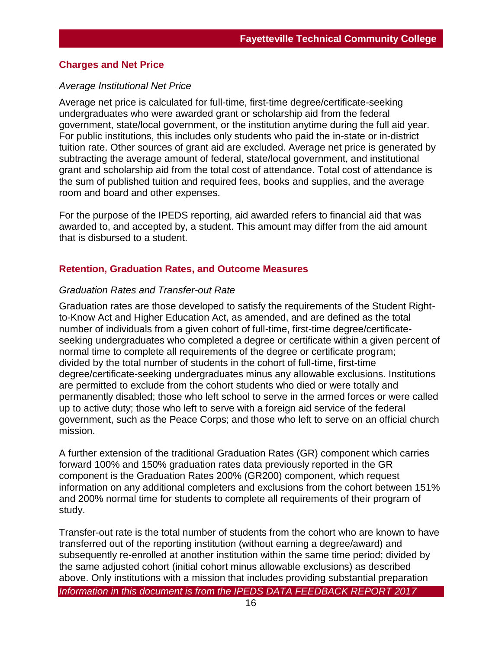#### **Charges and Net Price**

#### *Average Institutional Net Price*

Average net price is calculated for full-time, first-time degree/certificate-seeking undergraduates who were awarded grant or scholarship aid from the federal government, state/local government, or the institution anytime during the full aid year. For public institutions, this includes only students who paid the in-state or in-district tuition rate. Other sources of grant aid are excluded. Average net price is generated by subtracting the average amount of federal, state/local government, and institutional grant and scholarship aid from the total cost of attendance. Total cost of attendance is the sum of published tuition and required fees, books and supplies, and the average room and board and other expenses.

For the purpose of the IPEDS reporting, aid awarded refers to financial aid that was awarded to, and accepted by, a student. This amount may differ from the aid amount that is disbursed to a student.

#### **Retention, Graduation Rates, and Outcome Measures**

#### *Graduation Rates and Transfer-out Rate*

Graduation rates are those developed to satisfy the requirements of the Student Rightto-Know Act and Higher Education Act, as amended, and are defined as the total number of individuals from a given cohort of full-time, first-time degree/certificateseeking undergraduates who completed a degree or certificate within a given percent of normal time to complete all requirements of the degree or certificate program; divided by the total number of students in the cohort of full-time, first-time degree/certificate-seeking undergraduates minus any allowable exclusions. Institutions are permitted to exclude from the cohort students who died or were totally and permanently disabled; those who left school to serve in the armed forces or were called up to active duty; those who left to serve with a foreign aid service of the federal government, such as the Peace Corps; and those who left to serve on an official church mission.

A further extension of the traditional Graduation Rates (GR) component which carries forward 100% and 150% graduation rates data previously reported in the GR component is the Graduation Rates 200% (GR200) component, which request information on any additional completers and exclusions from the cohort between 151% and 200% normal time for students to complete all requirements of their program of study.

*Information in this document is from the IPEDS DATA FEEDBACK REPORT 2017* Transfer-out rate is the total number of students from the cohort who are known to have transferred out of the reporting institution (without earning a degree/award) and subsequently re-enrolled at another institution within the same time period; divided by the same adjusted cohort (initial cohort minus allowable exclusions) as described above. Only institutions with a mission that includes providing substantial preparation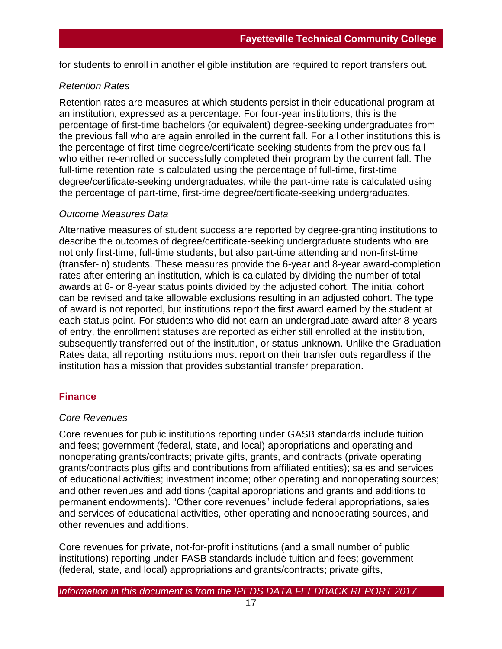for students to enroll in another eligible institution are required to report transfers out.

## *Retention Rates*

Retention rates are measures at which students persist in their educational program at an institution, expressed as a percentage. For four-year institutions, this is the percentage of first-time bachelors (or equivalent) degree-seeking undergraduates from the previous fall who are again enrolled in the current fall. For all other institutions this is the percentage of first-time degree/certificate-seeking students from the previous fall who either re-enrolled or successfully completed their program by the current fall. The full-time retention rate is calculated using the percentage of full-time, first-time degree/certificate-seeking undergraduates, while the part-time rate is calculated using the percentage of part-time, first-time degree/certificate-seeking undergraduates.

## *Outcome Measures Data*

Alternative measures of student success are reported by degree-granting institutions to describe the outcomes of degree/certificate-seeking undergraduate students who are not only first-time, full-time students, but also part-time attending and non-first-time (transfer-in) students. These measures provide the 6-year and 8-year award-completion rates after entering an institution, which is calculated by dividing the number of total awards at 6- or 8-year status points divided by the adjusted cohort. The initial cohort can be revised and take allowable exclusions resulting in an adjusted cohort. The type of award is not reported, but institutions report the first award earned by the student at each status point. For students who did not earn an undergraduate award after 8-years of entry, the enrollment statuses are reported as either still enrolled at the institution, subsequently transferred out of the institution, or status unknown. Unlike the Graduation Rates data, all reporting institutions must report on their transfer outs regardless if the institution has a mission that provides substantial transfer preparation.

## **Finance**

## *Core Revenues*

Core revenues for public institutions reporting under GASB standards include tuition and fees; government (federal, state, and local) appropriations and operating and nonoperating grants/contracts; private gifts, grants, and contracts (private operating grants/contracts plus gifts and contributions from affiliated entities); sales and services of educational activities; investment income; other operating and nonoperating sources; and other revenues and additions (capital appropriations and grants and additions to permanent endowments). "Other core revenues" include federal appropriations, sales and services of educational activities, other operating and nonoperating sources, and other revenues and additions.

Core revenues for private, not-for-profit institutions (and a small number of public institutions) reporting under FASB standards include tuition and fees; government (federal, state, and local) appropriations and grants/contracts; private gifts,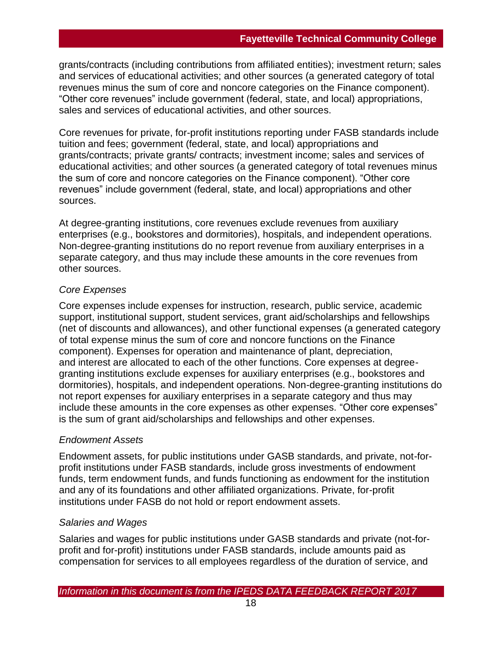grants/contracts (including contributions from affiliated entities); investment return; sales and services of educational activities; and other sources (a generated category of total revenues minus the sum of core and noncore categories on the Finance component). "Other core revenues" include government (federal, state, and local) appropriations, sales and services of educational activities, and other sources.

Core revenues for private, for-profit institutions reporting under FASB standards include tuition and fees; government (federal, state, and local) appropriations and grants/contracts; private grants/ contracts; investment income; sales and services of educational activities; and other sources (a generated category of total revenues minus the sum of core and noncore categories on the Finance component). "Other core revenues" include government (federal, state, and local) appropriations and other sources.

At degree-granting institutions, core revenues exclude revenues from auxiliary enterprises (e.g., bookstores and dormitories), hospitals, and independent operations. Non-degree-granting institutions do no report revenue from auxiliary enterprises in a separate category, and thus may include these amounts in the core revenues from other sources.

## *Core Expenses*

Core expenses include expenses for instruction, research, public service, academic support, institutional support, student services, grant aid/scholarships and fellowships (net of discounts and allowances), and other functional expenses (a generated category of total expense minus the sum of core and noncore functions on the Finance component). Expenses for operation and maintenance of plant, depreciation, and interest are allocated to each of the other functions. Core expenses at degreegranting institutions exclude expenses for auxiliary enterprises (e.g., bookstores and dormitories), hospitals, and independent operations. Non-degree-granting institutions do not report expenses for auxiliary enterprises in a separate category and thus may include these amounts in the core expenses as other expenses. "Other core expenses" is the sum of grant aid/scholarships and fellowships and other expenses.

## *Endowment Assets*

Endowment assets, for public institutions under GASB standards, and private, not-forprofit institutions under FASB standards, include gross investments of endowment funds, term endowment funds, and funds functioning as endowment for the institution and any of its foundations and other affiliated organizations. Private, for-profit institutions under FASB do not hold or report endowment assets.

## *Salaries and Wages*

Salaries and wages for public institutions under GASB standards and private (not-forprofit and for-profit) institutions under FASB standards, include amounts paid as compensation for services to all employees regardless of the duration of service, and